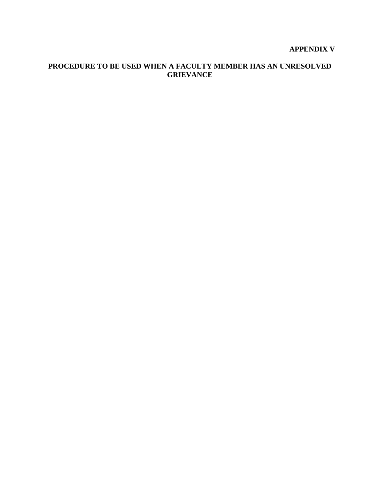# **APPENDIX V**

## **PROCEDURE TO BE USED WHEN A FACULTY MEMBER HAS AN UNRESOLVED GRIEVANCE**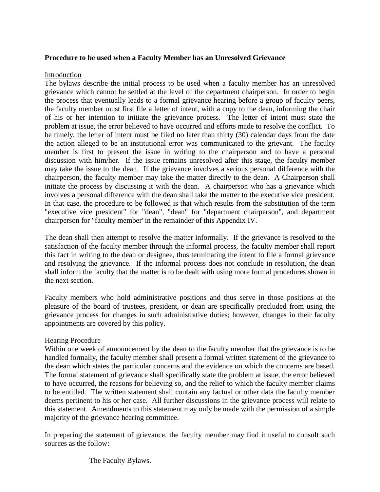### **Procedure to be used when a Faculty Member has an Unresolved Grievance**

#### Introduction

The bylaws describe the initial process to be used when a faculty member has an unresolved grievance which cannot be settled at the level of the department chairperson. In order to begin the process that eventually leads to a formal grievance hearing before a group of faculty peers, the faculty member must first file a letter of intent, with a copy to the dean, informing the chair of his or her intention to initiate the grievance process. The letter of intent must state the problem at issue, the error believed to have occurred and efforts made to resolve the conflict. To be timely, the letter of intent must be filed no later than thirty (30) calendar days from the date the action alleged to be an institutional error was communicated to the grievant. The faculty member is first to present the issue in writing to the chairperson and to have a personal discussion with him/her. If the issue remains unresolved after this stage, the faculty member may take the issue to the dean. If the grievance involves a serious personal difference with the chairperson, the faculty member may take the matter directly to the dean. A Chairperson shall initiate the process by discussing it with the dean. A chairperson who has a grievance which involves a personal difference with the dean shall take the matter to the executive vice president. In that case, the procedure to be followed is that which results from the substitution of the term "executive vice president" for "dean", "dean" for "department chairperson", and department chairperson for "faculty member' in the remainder of this Appendix IV.

The dean shall then attempt to resolve the matter informally. If the grievance is resolved to the satisfaction of the faculty member through the informal process, the faculty member shall report this fact in writing to the dean or designee, thus terminating the intent to file a formal grievance and resolving the grievance. If the informal process does not conclude in resolution, the dean shall inform the faculty that the matter is to be dealt with using more formal procedures shown in the next section.

Faculty members who hold administrative positions and thus serve in those positions at the pleasure of the board of trustees, president, or dean are specifically precluded from using the grievance process for changes in such administrative duties; however, changes in their faculty appointments are covered by this policy.

#### Hearing Procedure

Within one week of announcement by the dean to the faculty member that the grievance is to be handled formally, the faculty member shall present a formal written statement of the grievance to the dean which states the particular concerns and the evidence on which the concerns are based. The formal statement of grievance shall specifically state the problem at issue, the error believed to have occurred, the reasons for believing so, and the relief to which the faculty member claims to be entitled. The written statement shall contain any factual or other data the faculty member deems pertinent to his or her case. All further discussions in the grievance process will relate to this statement. Amendments to this statement may only be made with the permission of a simple majority of the grievance hearing committee.

In preparing the statement of grievance, the faculty member may find it useful to consult such sources as the follow:

The Faculty Bylaws.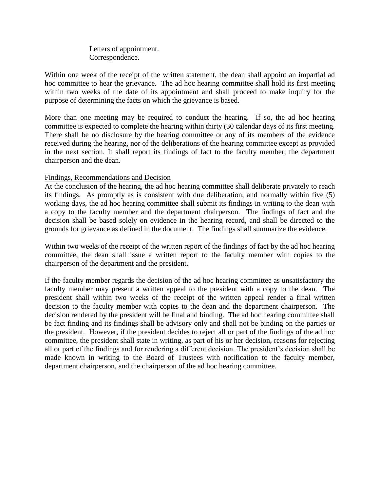Letters of appointment. Correspondence.

Within one week of the receipt of the written statement, the dean shall appoint an impartial ad hoc committee to hear the grievance. The ad hoc hearing committee shall hold its first meeting within two weeks of the date of its appointment and shall proceed to make inquiry for the purpose of determining the facts on which the grievance is based.

More than one meeting may be required to conduct the hearing. If so, the ad hoc hearing committee is expected to complete the hearing within thirty (30 calendar days of its first meeting. There shall be no disclosure by the hearing committee or any of its members of the evidence received during the hearing, nor of the deliberations of the hearing committee except as provided in the next section. It shall report its findings of fact to the faculty member, the department chairperson and the dean.

### Findings, Recommendations and Decision

At the conclusion of the hearing, the ad hoc hearing committee shall deliberate privately to reach its findings. As promptly as is consistent with due deliberation, and normally within five (5) working days, the ad hoc hearing committee shall submit its findings in writing to the dean with a copy to the faculty member and the department chairperson. The findings of fact and the decision shall be based solely on evidence in the hearing record, and shall be directed to the grounds for grievance as defined in the document. The findings shall summarize the evidence.

Within two weeks of the receipt of the written report of the findings of fact by the ad hoc hearing committee, the dean shall issue a written report to the faculty member with copies to the chairperson of the department and the president.

If the faculty member regards the decision of the ad hoc hearing committee as unsatisfactory the faculty member may present a written appeal to the president with a copy to the dean. The president shall within two weeks of the receipt of the written appeal render a final written decision to the faculty member with copies to the dean and the department chairperson. The decision rendered by the president will be final and binding. The ad hoc hearing committee shall be fact finding and its findings shall be advisory only and shall not be binding on the parties or the president. However, if the president decides to reject all or part of the findings of the ad hoc committee, the president shall state in writing, as part of his or her decision, reasons for rejecting all or part of the findings and for rendering a different decision. The president's decision shall be made known in writing to the Board of Trustees with notification to the faculty member, department chairperson, and the chairperson of the ad hoc hearing committee.